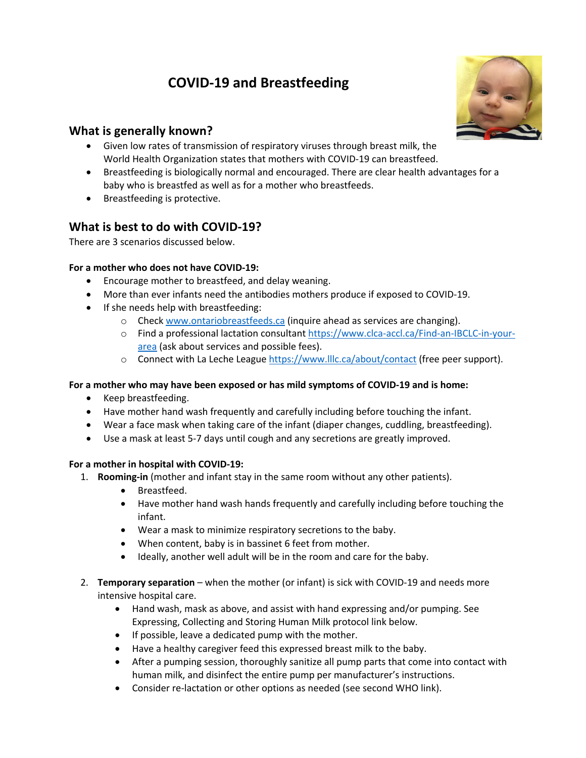# **COVID-19 and Breastfeeding**



## **What is generally known?**

- Given low rates of transmission of respiratory viruses through breast milk, the World Health Organization states that mothers with COVID-19 can breastfeed.
- Breastfeeding is biologically normal and encouraged. There are clear health advantages for a baby who is breastfed as well as for a mother who breastfeeds.
- Breastfeeding is protective.

## **What is best to do with COVID-19?**

There are 3 scenarios discussed below.

### **For a mother who does not have COVID-19:**

- Encourage mother to breastfeed, and delay weaning.
- More than ever infants need the antibodies mothers produce if exposed to COVID-19.
- If she needs help with breastfeeding:
	- $\circ$  Check www.ontariobreastfeeds.ca (inquire ahead as services are changing).
	- o Find a professional lactation consultant https://www.clca-accl.ca/Find-an-IBCLC-in-yourarea (ask about services and possible fees).
	- o Connect with La Leche League https://www.lllc.ca/about/contact (free peer support).

### **For a mother who may have been exposed or has mild symptoms of COVID-19 and is home:**

- Keep breastfeeding.
- Have mother hand wash frequently and carefully including before touching the infant.
- Wear a face mask when taking care of the infant (diaper changes, cuddling, breastfeeding).
- Use a mask at least 5-7 days until cough and any secretions are greatly improved.

#### **For a mother in hospital with COVID-19:**

- 1. **Rooming-in** (mother and infant stay in the same room without any other patients).
	- Breastfeed.
	- Have mother hand wash hands frequently and carefully including before touching the infant.
	- Wear a mask to minimize respiratory secretions to the baby.
	- When content, baby is in bassinet 6 feet from mother.
	- Ideally, another well adult will be in the room and care for the baby.
- 2. **Temporary separation** when the mother (or infant) is sick with COVID-19 and needs more intensive hospital care.
	- Hand wash, mask as above, and assist with hand expressing and/or pumping. See Expressing, Collecting and Storing Human Milk protocol link below.
	- If possible, leave a dedicated pump with the mother.
	- Have a healthy caregiver feed this expressed breast milk to the baby.
	- After a pumping session, thoroughly sanitize all pump parts that come into contact with human milk, and disinfect the entire pump per manufacturer's instructions.
	- Consider re-lactation or other options as needed (see second WHO link).